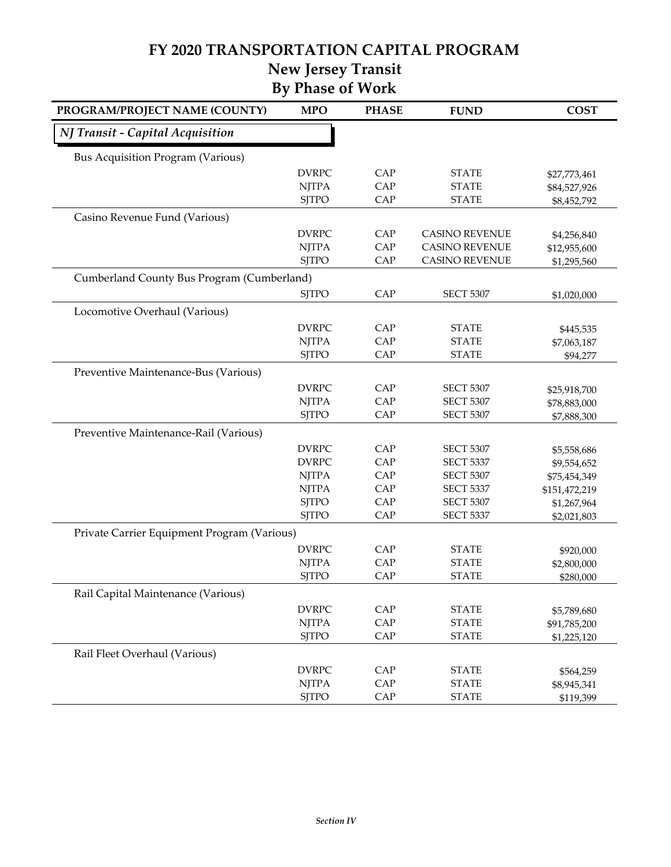#### *NJ Transit - Capital Acquisition* DVRPC CAP STATE \$27,773,461 NJTPA CAP STATE \$84,527,926 SJTPO CAP STATE \$8,452,792 DVRPC CAP CASINO REVENUE \$4,256,840 NJTPA CAP CASINO REVENUE \$12,955,600 SJTPO CAP CASINO REVENUE \$1,295,560 SJTPO CAP SECT 5307 \$1,020,000 DVRPC CAP STATE \$445,535 NJTPA CAP STATE \$7,063,187 SJTPO CAP STATE \$94,277 DVRPC CAP SECT 5307 \$25,918,700 NJTPA CAP SECT 5307 \$78,883,000 SJTPO CAP SECT 5307 \$7,888,300 DVRPC CAP SECT 5307 \$5,558,686 DVRPC CAP SECT 5337 \$9,554,652 NJTPA CAP SECT 5307 \$75,454,349 NJTPA CAP SECT 5337 \$151,472,219 SJTPO CAP SECT 5307 \$1,267,964 SJTPO CAP SECT 5337 \$2,021,803 DVRPC CAP STATE \$920,000 NJTPA CAP STATE \$2,800,000 SJTPO CAP STATE \$280,000 DVRPC CAP STATE \$5,789,680 NJTPA CAP STATE \$91,785,200 SJTPO CAP STATE \$1,225,120 DVRPC CAP STATE \$564,259 NJTPA CAP STATE \$8,945,341 SJTPO CAP STATE \$119,399 **By Phase of Work** Bus Acquisition Program (Various) Casino Revenue Fund (Various) Cumberland County Bus Program (Cumberland) Locomotive Overhaul (Various) Preventive Maintenance-Bus (Various) Preventive Maintenance-Rail (Various) Private Carrier Equipment Program (Various) Rail Capital Maintenance (Various) Rail Fleet Overhaul (Various) **New Jersey Transit PROGRAM/PROJECT NAME (COUNTY) MPO PHASE FUND COST**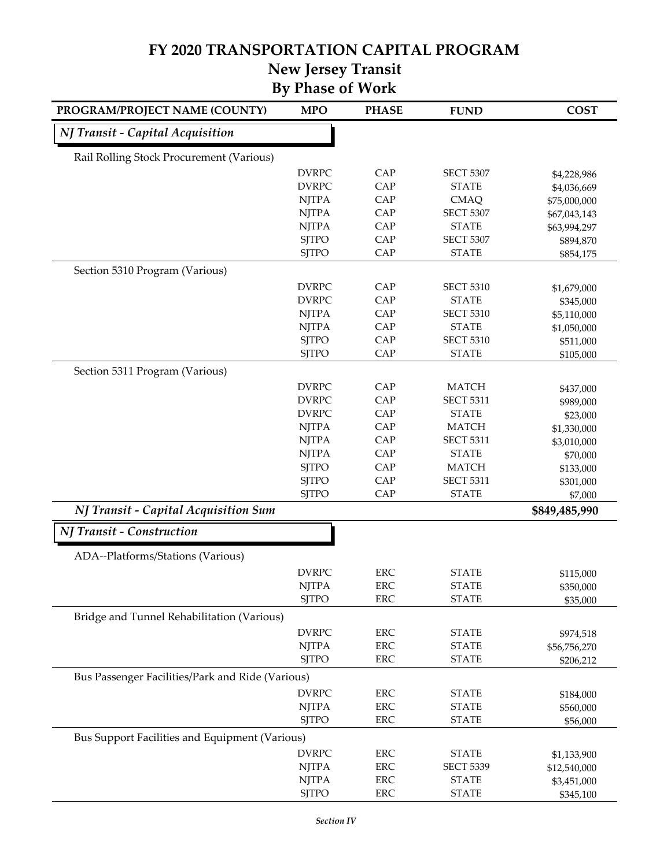# **FY 2020 TRANSPORTATION CAPITAL PROGRAM**

#### **By Phase of Work New Jersey Transit**

| NJ Transit - Capital Acquisition<br>Rail Rolling Stock Procurement (Various)<br><b>DVRPC</b><br>CAP<br><b>SECT 5307</b><br>\$4,228,986<br><b>DVRPC</b><br>CAP<br><b>STATE</b><br>\$4,036,669<br>CAP<br><b>NJTPA</b><br><b>CMAQ</b><br>\$75,000,000<br>CAP<br><b>NJTPA</b><br><b>SECT 5307</b><br>CAP<br><b>NJTPA</b><br><b>STATE</b><br><b>SJTPO</b><br>CAP<br><b>SECT 5307</b><br>CAP<br><b>SJTPO</b><br><b>STATE</b><br>Section 5310 Program (Various)<br><b>DVRPC</b><br>CAP<br><b>SECT 5310</b><br><b>DVRPC</b><br>CAP<br><b>STATE</b><br>CAP<br><b>NJTPA</b><br><b>SECT 5310</b><br><b>NJTPA</b><br>CAP<br><b>STATE</b><br>CAP<br><b>SJTPO</b><br><b>SECT 5310</b><br><b>SJTPO</b><br>CAP<br><b>STATE</b><br>Section 5311 Program (Various)<br><b>DVRPC</b><br>CAP<br><b>MATCH</b><br>CAP<br><b>DVRPC</b><br><b>SECT 5311</b><br>CAP<br><b>DVRPC</b><br><b>STATE</b><br><b>NJTPA</b><br>CAP<br><b>MATCH</b><br>CAP<br><b>NJTPA</b><br><b>SECT 5311</b><br>CAP<br><b>NJTPA</b><br><b>STATE</b><br><b>SJTPO</b><br>CAP<br><b>MATCH</b><br>\$133,000<br><b>SJTPO</b><br>CAP<br><b>SECT 5311</b><br>\$301,000<br>CAP<br><b>STATE</b><br><b>SJTPO</b><br>\$7,000<br>NJ Transit - Capital Acquisition Sum<br>\$849,485,990<br>NJ Transit - Construction<br>ADA--Platforms/Stations (Various)<br><b>DVRPC</b><br><b>ERC</b><br><b>STATE</b><br>\$115,000<br><b>NJTPA</b><br><b>ERC</b><br><b>STATE</b><br>\$350,000<br><b>SJTPO</b><br><b>STATE</b><br><b>ERC</b><br>Bridge and Tunnel Rehabilitation (Various)<br><b>DVRPC</b><br><b>ERC</b><br><b>STATE</b><br><b>NJTPA</b><br><b>ERC</b><br><b>STATE</b><br>\$56,756,270<br><b>ERC</b><br><b>SJTPO</b><br><b>STATE</b><br>Bus Passenger Facilities/Park and Ride (Various)<br><b>DVRPC</b><br><b>ERC</b><br><b>STATE</b><br>\$184,000<br><b>NJTPA</b><br><b>ERC</b><br><b>STATE</b><br>\$560,000<br><b>SJTPO</b><br>ERC<br><b>STATE</b><br><b>Bus Support Facilities and Equipment (Various)</b><br><b>DVRPC</b><br><b>ERC</b><br><b>STATE</b><br>\$1,133,900 | PROGRAM/PROJECT NAME (COUNTY) | <b>MPO</b> | <b>PHASE</b> | <b>FUND</b> | <b>COST</b>  |
|----------------------------------------------------------------------------------------------------------------------------------------------------------------------------------------------------------------------------------------------------------------------------------------------------------------------------------------------------------------------------------------------------------------------------------------------------------------------------------------------------------------------------------------------------------------------------------------------------------------------------------------------------------------------------------------------------------------------------------------------------------------------------------------------------------------------------------------------------------------------------------------------------------------------------------------------------------------------------------------------------------------------------------------------------------------------------------------------------------------------------------------------------------------------------------------------------------------------------------------------------------------------------------------------------------------------------------------------------------------------------------------------------------------------------------------------------------------------------------------------------------------------------------------------------------------------------------------------------------------------------------------------------------------------------------------------------------------------------------------------------------------------------------------------------------------------------------------------------------------------------------------------------------------------------------------------------------------------------------------------------------------|-------------------------------|------------|--------------|-------------|--------------|
|                                                                                                                                                                                                                                                                                                                                                                                                                                                                                                                                                                                                                                                                                                                                                                                                                                                                                                                                                                                                                                                                                                                                                                                                                                                                                                                                                                                                                                                                                                                                                                                                                                                                                                                                                                                                                                                                                                                                                                                                                |                               |            |              |             |              |
|                                                                                                                                                                                                                                                                                                                                                                                                                                                                                                                                                                                                                                                                                                                                                                                                                                                                                                                                                                                                                                                                                                                                                                                                                                                                                                                                                                                                                                                                                                                                                                                                                                                                                                                                                                                                                                                                                                                                                                                                                |                               |            |              |             |              |
|                                                                                                                                                                                                                                                                                                                                                                                                                                                                                                                                                                                                                                                                                                                                                                                                                                                                                                                                                                                                                                                                                                                                                                                                                                                                                                                                                                                                                                                                                                                                                                                                                                                                                                                                                                                                                                                                                                                                                                                                                |                               |            |              |             |              |
|                                                                                                                                                                                                                                                                                                                                                                                                                                                                                                                                                                                                                                                                                                                                                                                                                                                                                                                                                                                                                                                                                                                                                                                                                                                                                                                                                                                                                                                                                                                                                                                                                                                                                                                                                                                                                                                                                                                                                                                                                |                               |            |              |             |              |
|                                                                                                                                                                                                                                                                                                                                                                                                                                                                                                                                                                                                                                                                                                                                                                                                                                                                                                                                                                                                                                                                                                                                                                                                                                                                                                                                                                                                                                                                                                                                                                                                                                                                                                                                                                                                                                                                                                                                                                                                                |                               |            |              |             |              |
|                                                                                                                                                                                                                                                                                                                                                                                                                                                                                                                                                                                                                                                                                                                                                                                                                                                                                                                                                                                                                                                                                                                                                                                                                                                                                                                                                                                                                                                                                                                                                                                                                                                                                                                                                                                                                                                                                                                                                                                                                |                               |            |              |             | \$67,043,143 |
|                                                                                                                                                                                                                                                                                                                                                                                                                                                                                                                                                                                                                                                                                                                                                                                                                                                                                                                                                                                                                                                                                                                                                                                                                                                                                                                                                                                                                                                                                                                                                                                                                                                                                                                                                                                                                                                                                                                                                                                                                |                               |            |              |             | \$63,994,297 |
|                                                                                                                                                                                                                                                                                                                                                                                                                                                                                                                                                                                                                                                                                                                                                                                                                                                                                                                                                                                                                                                                                                                                                                                                                                                                                                                                                                                                                                                                                                                                                                                                                                                                                                                                                                                                                                                                                                                                                                                                                |                               |            |              |             | \$894,870    |
|                                                                                                                                                                                                                                                                                                                                                                                                                                                                                                                                                                                                                                                                                                                                                                                                                                                                                                                                                                                                                                                                                                                                                                                                                                                                                                                                                                                                                                                                                                                                                                                                                                                                                                                                                                                                                                                                                                                                                                                                                |                               |            |              |             | \$854,175    |
|                                                                                                                                                                                                                                                                                                                                                                                                                                                                                                                                                                                                                                                                                                                                                                                                                                                                                                                                                                                                                                                                                                                                                                                                                                                                                                                                                                                                                                                                                                                                                                                                                                                                                                                                                                                                                                                                                                                                                                                                                |                               |            |              |             |              |
|                                                                                                                                                                                                                                                                                                                                                                                                                                                                                                                                                                                                                                                                                                                                                                                                                                                                                                                                                                                                                                                                                                                                                                                                                                                                                                                                                                                                                                                                                                                                                                                                                                                                                                                                                                                                                                                                                                                                                                                                                |                               |            |              |             | \$1,679,000  |
|                                                                                                                                                                                                                                                                                                                                                                                                                                                                                                                                                                                                                                                                                                                                                                                                                                                                                                                                                                                                                                                                                                                                                                                                                                                                                                                                                                                                                                                                                                                                                                                                                                                                                                                                                                                                                                                                                                                                                                                                                |                               |            |              |             | \$345,000    |
|                                                                                                                                                                                                                                                                                                                                                                                                                                                                                                                                                                                                                                                                                                                                                                                                                                                                                                                                                                                                                                                                                                                                                                                                                                                                                                                                                                                                                                                                                                                                                                                                                                                                                                                                                                                                                                                                                                                                                                                                                |                               |            |              |             | \$5,110,000  |
|                                                                                                                                                                                                                                                                                                                                                                                                                                                                                                                                                                                                                                                                                                                                                                                                                                                                                                                                                                                                                                                                                                                                                                                                                                                                                                                                                                                                                                                                                                                                                                                                                                                                                                                                                                                                                                                                                                                                                                                                                |                               |            |              |             | \$1,050,000  |
|                                                                                                                                                                                                                                                                                                                                                                                                                                                                                                                                                                                                                                                                                                                                                                                                                                                                                                                                                                                                                                                                                                                                                                                                                                                                                                                                                                                                                                                                                                                                                                                                                                                                                                                                                                                                                                                                                                                                                                                                                |                               |            |              |             | \$511,000    |
|                                                                                                                                                                                                                                                                                                                                                                                                                                                                                                                                                                                                                                                                                                                                                                                                                                                                                                                                                                                                                                                                                                                                                                                                                                                                                                                                                                                                                                                                                                                                                                                                                                                                                                                                                                                                                                                                                                                                                                                                                |                               |            |              |             | \$105,000    |
|                                                                                                                                                                                                                                                                                                                                                                                                                                                                                                                                                                                                                                                                                                                                                                                                                                                                                                                                                                                                                                                                                                                                                                                                                                                                                                                                                                                                                                                                                                                                                                                                                                                                                                                                                                                                                                                                                                                                                                                                                |                               |            |              |             |              |
|                                                                                                                                                                                                                                                                                                                                                                                                                                                                                                                                                                                                                                                                                                                                                                                                                                                                                                                                                                                                                                                                                                                                                                                                                                                                                                                                                                                                                                                                                                                                                                                                                                                                                                                                                                                                                                                                                                                                                                                                                |                               |            |              |             | \$437,000    |
|                                                                                                                                                                                                                                                                                                                                                                                                                                                                                                                                                                                                                                                                                                                                                                                                                                                                                                                                                                                                                                                                                                                                                                                                                                                                                                                                                                                                                                                                                                                                                                                                                                                                                                                                                                                                                                                                                                                                                                                                                |                               |            |              |             | \$989,000    |
|                                                                                                                                                                                                                                                                                                                                                                                                                                                                                                                                                                                                                                                                                                                                                                                                                                                                                                                                                                                                                                                                                                                                                                                                                                                                                                                                                                                                                                                                                                                                                                                                                                                                                                                                                                                                                                                                                                                                                                                                                |                               |            |              |             | \$23,000     |
|                                                                                                                                                                                                                                                                                                                                                                                                                                                                                                                                                                                                                                                                                                                                                                                                                                                                                                                                                                                                                                                                                                                                                                                                                                                                                                                                                                                                                                                                                                                                                                                                                                                                                                                                                                                                                                                                                                                                                                                                                |                               |            |              |             | \$1,330,000  |
|                                                                                                                                                                                                                                                                                                                                                                                                                                                                                                                                                                                                                                                                                                                                                                                                                                                                                                                                                                                                                                                                                                                                                                                                                                                                                                                                                                                                                                                                                                                                                                                                                                                                                                                                                                                                                                                                                                                                                                                                                |                               |            |              |             | \$3,010,000  |
|                                                                                                                                                                                                                                                                                                                                                                                                                                                                                                                                                                                                                                                                                                                                                                                                                                                                                                                                                                                                                                                                                                                                                                                                                                                                                                                                                                                                                                                                                                                                                                                                                                                                                                                                                                                                                                                                                                                                                                                                                |                               |            |              |             | \$70,000     |
|                                                                                                                                                                                                                                                                                                                                                                                                                                                                                                                                                                                                                                                                                                                                                                                                                                                                                                                                                                                                                                                                                                                                                                                                                                                                                                                                                                                                                                                                                                                                                                                                                                                                                                                                                                                                                                                                                                                                                                                                                |                               |            |              |             |              |
|                                                                                                                                                                                                                                                                                                                                                                                                                                                                                                                                                                                                                                                                                                                                                                                                                                                                                                                                                                                                                                                                                                                                                                                                                                                                                                                                                                                                                                                                                                                                                                                                                                                                                                                                                                                                                                                                                                                                                                                                                |                               |            |              |             |              |
|                                                                                                                                                                                                                                                                                                                                                                                                                                                                                                                                                                                                                                                                                                                                                                                                                                                                                                                                                                                                                                                                                                                                                                                                                                                                                                                                                                                                                                                                                                                                                                                                                                                                                                                                                                                                                                                                                                                                                                                                                |                               |            |              |             |              |
|                                                                                                                                                                                                                                                                                                                                                                                                                                                                                                                                                                                                                                                                                                                                                                                                                                                                                                                                                                                                                                                                                                                                                                                                                                                                                                                                                                                                                                                                                                                                                                                                                                                                                                                                                                                                                                                                                                                                                                                                                |                               |            |              |             |              |
|                                                                                                                                                                                                                                                                                                                                                                                                                                                                                                                                                                                                                                                                                                                                                                                                                                                                                                                                                                                                                                                                                                                                                                                                                                                                                                                                                                                                                                                                                                                                                                                                                                                                                                                                                                                                                                                                                                                                                                                                                |                               |            |              |             |              |
|                                                                                                                                                                                                                                                                                                                                                                                                                                                                                                                                                                                                                                                                                                                                                                                                                                                                                                                                                                                                                                                                                                                                                                                                                                                                                                                                                                                                                                                                                                                                                                                                                                                                                                                                                                                                                                                                                                                                                                                                                |                               |            |              |             |              |
|                                                                                                                                                                                                                                                                                                                                                                                                                                                                                                                                                                                                                                                                                                                                                                                                                                                                                                                                                                                                                                                                                                                                                                                                                                                                                                                                                                                                                                                                                                                                                                                                                                                                                                                                                                                                                                                                                                                                                                                                                |                               |            |              |             |              |
|                                                                                                                                                                                                                                                                                                                                                                                                                                                                                                                                                                                                                                                                                                                                                                                                                                                                                                                                                                                                                                                                                                                                                                                                                                                                                                                                                                                                                                                                                                                                                                                                                                                                                                                                                                                                                                                                                                                                                                                                                |                               |            |              |             |              |
|                                                                                                                                                                                                                                                                                                                                                                                                                                                                                                                                                                                                                                                                                                                                                                                                                                                                                                                                                                                                                                                                                                                                                                                                                                                                                                                                                                                                                                                                                                                                                                                                                                                                                                                                                                                                                                                                                                                                                                                                                |                               |            |              |             | \$35,000     |
|                                                                                                                                                                                                                                                                                                                                                                                                                                                                                                                                                                                                                                                                                                                                                                                                                                                                                                                                                                                                                                                                                                                                                                                                                                                                                                                                                                                                                                                                                                                                                                                                                                                                                                                                                                                                                                                                                                                                                                                                                |                               |            |              |             |              |
|                                                                                                                                                                                                                                                                                                                                                                                                                                                                                                                                                                                                                                                                                                                                                                                                                                                                                                                                                                                                                                                                                                                                                                                                                                                                                                                                                                                                                                                                                                                                                                                                                                                                                                                                                                                                                                                                                                                                                                                                                |                               |            |              |             | \$974,518    |
|                                                                                                                                                                                                                                                                                                                                                                                                                                                                                                                                                                                                                                                                                                                                                                                                                                                                                                                                                                                                                                                                                                                                                                                                                                                                                                                                                                                                                                                                                                                                                                                                                                                                                                                                                                                                                                                                                                                                                                                                                |                               |            |              |             |              |
|                                                                                                                                                                                                                                                                                                                                                                                                                                                                                                                                                                                                                                                                                                                                                                                                                                                                                                                                                                                                                                                                                                                                                                                                                                                                                                                                                                                                                                                                                                                                                                                                                                                                                                                                                                                                                                                                                                                                                                                                                |                               |            |              |             | \$206,212    |
|                                                                                                                                                                                                                                                                                                                                                                                                                                                                                                                                                                                                                                                                                                                                                                                                                                                                                                                                                                                                                                                                                                                                                                                                                                                                                                                                                                                                                                                                                                                                                                                                                                                                                                                                                                                                                                                                                                                                                                                                                |                               |            |              |             |              |
|                                                                                                                                                                                                                                                                                                                                                                                                                                                                                                                                                                                                                                                                                                                                                                                                                                                                                                                                                                                                                                                                                                                                                                                                                                                                                                                                                                                                                                                                                                                                                                                                                                                                                                                                                                                                                                                                                                                                                                                                                |                               |            |              |             |              |
|                                                                                                                                                                                                                                                                                                                                                                                                                                                                                                                                                                                                                                                                                                                                                                                                                                                                                                                                                                                                                                                                                                                                                                                                                                                                                                                                                                                                                                                                                                                                                                                                                                                                                                                                                                                                                                                                                                                                                                                                                |                               |            |              |             |              |
|                                                                                                                                                                                                                                                                                                                                                                                                                                                                                                                                                                                                                                                                                                                                                                                                                                                                                                                                                                                                                                                                                                                                                                                                                                                                                                                                                                                                                                                                                                                                                                                                                                                                                                                                                                                                                                                                                                                                                                                                                |                               |            |              |             | \$56,000     |
|                                                                                                                                                                                                                                                                                                                                                                                                                                                                                                                                                                                                                                                                                                                                                                                                                                                                                                                                                                                                                                                                                                                                                                                                                                                                                                                                                                                                                                                                                                                                                                                                                                                                                                                                                                                                                                                                                                                                                                                                                |                               |            |              |             |              |
|                                                                                                                                                                                                                                                                                                                                                                                                                                                                                                                                                                                                                                                                                                                                                                                                                                                                                                                                                                                                                                                                                                                                                                                                                                                                                                                                                                                                                                                                                                                                                                                                                                                                                                                                                                                                                                                                                                                                                                                                                |                               |            |              |             |              |
| <b>NJTPA</b><br><b>ERC</b><br><b>SECT 5339</b>                                                                                                                                                                                                                                                                                                                                                                                                                                                                                                                                                                                                                                                                                                                                                                                                                                                                                                                                                                                                                                                                                                                                                                                                                                                                                                                                                                                                                                                                                                                                                                                                                                                                                                                                                                                                                                                                                                                                                                 |                               |            |              |             | \$12,540,000 |
| <b>NJTPA</b><br><b>ERC</b><br><b>STATE</b>                                                                                                                                                                                                                                                                                                                                                                                                                                                                                                                                                                                                                                                                                                                                                                                                                                                                                                                                                                                                                                                                                                                                                                                                                                                                                                                                                                                                                                                                                                                                                                                                                                                                                                                                                                                                                                                                                                                                                                     |                               |            |              |             | \$3,451,000  |
| <b>SJTPO</b><br>ERC<br><b>STATE</b>                                                                                                                                                                                                                                                                                                                                                                                                                                                                                                                                                                                                                                                                                                                                                                                                                                                                                                                                                                                                                                                                                                                                                                                                                                                                                                                                                                                                                                                                                                                                                                                                                                                                                                                                                                                                                                                                                                                                                                            |                               |            |              |             | \$345,100    |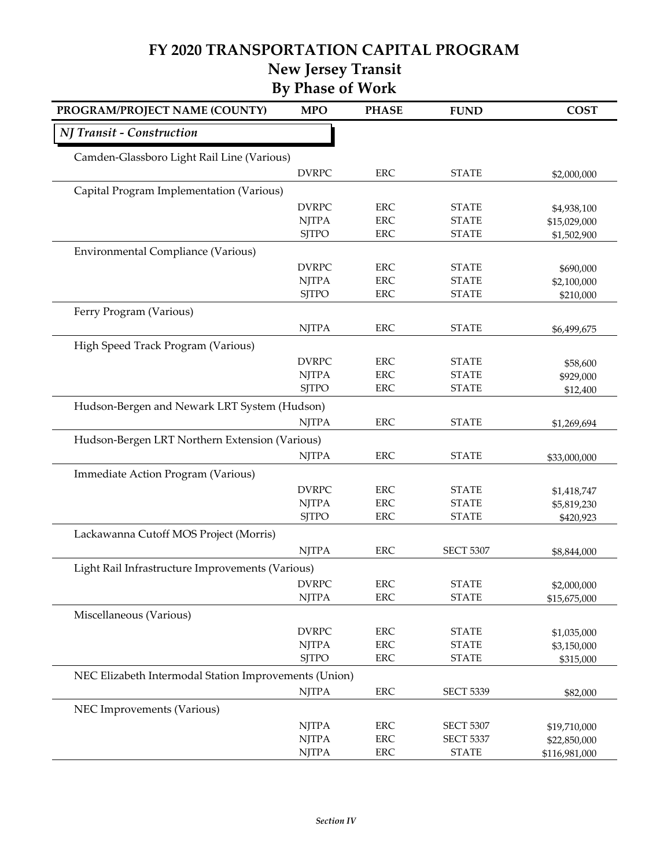### **FY 2020 TRANSPORTATION CAPITAL PROGRAM**

**New Jersey Transit**

| <b>By Phase of Work</b> |  |
|-------------------------|--|
|-------------------------|--|

| PROGRAM/PROJECT NAME (COUNTY)                         | <b>MPO</b>                   | <b>PHASE</b>             | <b>FUND</b>                  | <b>COST</b>                |
|-------------------------------------------------------|------------------------------|--------------------------|------------------------------|----------------------------|
| NJ Transit - Construction                             |                              |                          |                              |                            |
| Camden-Glassboro Light Rail Line (Various)            |                              |                          |                              |                            |
|                                                       | <b>DVRPC</b>                 | <b>ERC</b>               | <b>STATE</b>                 | \$2,000,000                |
| Capital Program Implementation (Various)              |                              |                          |                              |                            |
|                                                       | <b>DVRPC</b>                 | <b>ERC</b>               | <b>STATE</b>                 | \$4,938,100                |
|                                                       | <b>NJTPA</b>                 | <b>ERC</b>               | <b>STATE</b>                 | \$15,029,000               |
|                                                       | <b>SJTPO</b>                 | <b>ERC</b>               | <b>STATE</b>                 | \$1,502,900                |
| Environmental Compliance (Various)                    |                              |                          |                              |                            |
|                                                       | <b>DVRPC</b>                 | <b>ERC</b>               | <b>STATE</b>                 | \$690,000                  |
|                                                       | <b>NJTPA</b>                 | <b>ERC</b>               | <b>STATE</b>                 | \$2,100,000                |
|                                                       | <b>SJTPO</b>                 | <b>ERC</b>               | <b>STATE</b>                 | \$210,000                  |
| Ferry Program (Various)                               |                              |                          |                              |                            |
|                                                       | <b>NJTPA</b>                 | ERC                      | <b>STATE</b>                 | \$6,499,675                |
| High Speed Track Program (Various)                    |                              |                          |                              |                            |
|                                                       | <b>DVRPC</b>                 | ERC                      | <b>STATE</b>                 | \$58,600                   |
|                                                       | <b>NJTPA</b>                 | <b>ERC</b>               | <b>STATE</b>                 | \$929,000                  |
|                                                       | <b>SJTPO</b>                 | <b>ERC</b>               | <b>STATE</b>                 | \$12,400                   |
| Hudson-Bergen and Newark LRT System (Hudson)          |                              |                          |                              |                            |
|                                                       | <b>NJTPA</b>                 | <b>ERC</b>               | <b>STATE</b>                 | \$1,269,694                |
| Hudson-Bergen LRT Northern Extension (Various)        |                              |                          |                              |                            |
|                                                       | <b>NJTPA</b>                 | <b>ERC</b>               | <b>STATE</b>                 | \$33,000,000               |
| Immediate Action Program (Various)                    |                              |                          |                              |                            |
|                                                       | <b>DVRPC</b>                 | <b>ERC</b>               | <b>STATE</b>                 |                            |
|                                                       | <b>NJTPA</b>                 | <b>ERC</b>               | <b>STATE</b>                 | \$1,418,747<br>\$5,819,230 |
|                                                       | <b>SJTPO</b>                 | <b>ERC</b>               | <b>STATE</b>                 | \$420,923                  |
| Lackawanna Cutoff MOS Project (Morris)                |                              |                          |                              |                            |
|                                                       | <b>NJTPA</b>                 | <b>ERC</b>               | <b>SECT 5307</b>             | \$8,844,000                |
|                                                       |                              |                          |                              |                            |
| Light Rail Infrastructure Improvements (Various)      |                              |                          |                              |                            |
|                                                       | <b>DVRPC</b><br><b>NJTPA</b> | <b>ERC</b><br><b>ERC</b> | <b>STATE</b><br><b>STATE</b> | \$2,000,000                |
|                                                       |                              |                          |                              | \$15,675,000               |
| Miscellaneous (Various)                               |                              |                          |                              |                            |
|                                                       | <b>DVRPC</b>                 | <b>ERC</b>               | <b>STATE</b>                 | \$1,035,000                |
|                                                       | <b>NJTPA</b>                 | ERC                      | <b>STATE</b>                 | \$3,150,000                |
|                                                       | <b>SJTPO</b>                 | ERC                      | <b>STATE</b>                 | \$315,000                  |
| NEC Elizabeth Intermodal Station Improvements (Union) |                              |                          |                              |                            |
|                                                       | <b>NJTPA</b>                 | <b>ERC</b>               | <b>SECT 5339</b>             | \$82,000                   |
| NEC Improvements (Various)                            |                              |                          |                              |                            |
|                                                       | <b>NJTPA</b>                 | <b>ERC</b>               | <b>SECT 5307</b>             | \$19,710,000               |
|                                                       | <b>NJTPA</b>                 | <b>ERC</b>               | <b>SECT 5337</b>             | \$22,850,000               |
|                                                       | <b>NJTPA</b>                 | ERC                      | <b>STATE</b>                 | \$116,981,000              |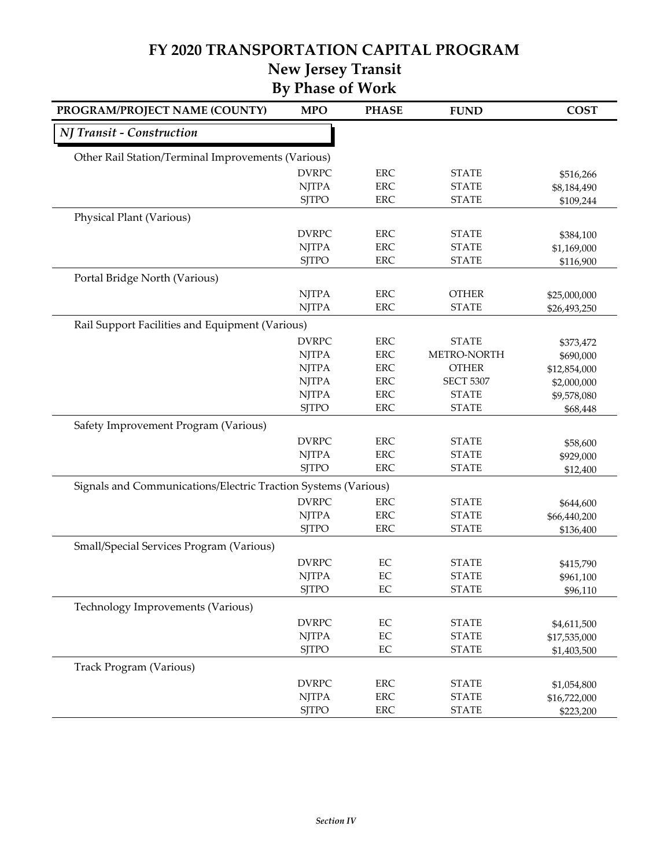#### **FY 2020 TRANSPORTATION CAPITAL PROGRAM New Jersey Transit**

## **By Phase of Work**

| PROGRAM/PROJECT NAME (COUNTY)                                  | <b>MPO</b>   | <b>PHASE</b> | <b>FUND</b>      | <b>COST</b>  |
|----------------------------------------------------------------|--------------|--------------|------------------|--------------|
| NJ Transit - Construction                                      |              |              |                  |              |
| Other Rail Station/Terminal Improvements (Various)             |              |              |                  |              |
|                                                                | <b>DVRPC</b> | ${\rm ERC}$  | <b>STATE</b>     | \$516,266    |
|                                                                | <b>NJTPA</b> | ERC          | <b>STATE</b>     | \$8,184,490  |
|                                                                | <b>SJTPO</b> | ERC          | <b>STATE</b>     | \$109,244    |
| Physical Plant (Various)                                       |              |              |                  |              |
|                                                                | <b>DVRPC</b> | ERC          | <b>STATE</b>     | \$384,100    |
|                                                                | <b>NJTPA</b> | <b>ERC</b>   | <b>STATE</b>     | \$1,169,000  |
|                                                                | <b>SJTPO</b> | <b>ERC</b>   | <b>STATE</b>     | \$116,900    |
| Portal Bridge North (Various)                                  |              |              |                  |              |
|                                                                | <b>NJTPA</b> | ERC          | <b>OTHER</b>     | \$25,000,000 |
|                                                                | <b>NJTPA</b> | ERC          | <b>STATE</b>     | \$26,493,250 |
| Rail Support Facilities and Equipment (Various)                |              |              |                  |              |
|                                                                | <b>DVRPC</b> | ERC          | <b>STATE</b>     | \$373,472    |
|                                                                | <b>NJTPA</b> | ERC          | METRO-NORTH      | \$690,000    |
|                                                                | <b>NJTPA</b> | <b>ERC</b>   | <b>OTHER</b>     | \$12,854,000 |
|                                                                | <b>NJTPA</b> | <b>ERC</b>   | <b>SECT 5307</b> | \$2,000,000  |
|                                                                | <b>NJTPA</b> | ERC          | <b>STATE</b>     | \$9,578,080  |
|                                                                | <b>SJTPO</b> | <b>ERC</b>   | <b>STATE</b>     | \$68,448     |
| Safety Improvement Program (Various)                           |              |              |                  |              |
|                                                                | <b>DVRPC</b> | ERC          | <b>STATE</b>     | \$58,600     |
|                                                                | <b>NJTPA</b> | <b>ERC</b>   | <b>STATE</b>     | \$929,000    |
|                                                                | <b>SJTPO</b> | ERC          | <b>STATE</b>     | \$12,400     |
| Signals and Communications/Electric Traction Systems (Various) |              |              |                  |              |
|                                                                | <b>DVRPC</b> | <b>ERC</b>   | <b>STATE</b>     | \$644,600    |
|                                                                | <b>NJTPA</b> | ERC          | <b>STATE</b>     | \$66,440,200 |
|                                                                | <b>SJTPO</b> | ERC          | <b>STATE</b>     | \$136,400    |
| Small/Special Services Program (Various)                       |              |              |                  |              |
|                                                                | <b>DVRPC</b> | EC           | <b>STATE</b>     | \$415,790    |
|                                                                | <b>NJTPA</b> | EC           | <b>STATE</b>     | \$961,100    |
|                                                                | <b>SJTPO</b> | EC           | <b>STATE</b>     | \$96,110     |
| Technology Improvements (Various)                              |              |              |                  |              |
|                                                                | <b>DVRPC</b> | $\rm EC$     | <b>STATE</b>     | \$4,611,500  |
|                                                                | <b>NJTPA</b> | EC           | <b>STATE</b>     | \$17,535,000 |
|                                                                | <b>SJTPO</b> | EC           | <b>STATE</b>     | \$1,403,500  |
| Track Program (Various)                                        |              |              |                  |              |
|                                                                | <b>DVRPC</b> | ERC          | <b>STATE</b>     | \$1,054,800  |
|                                                                | <b>NJTPA</b> | ${\rm ERC}$  | <b>STATE</b>     | \$16,722,000 |
|                                                                | <b>SJTPO</b> | ${\rm ERC}$  | <b>STATE</b>     | \$223,200    |